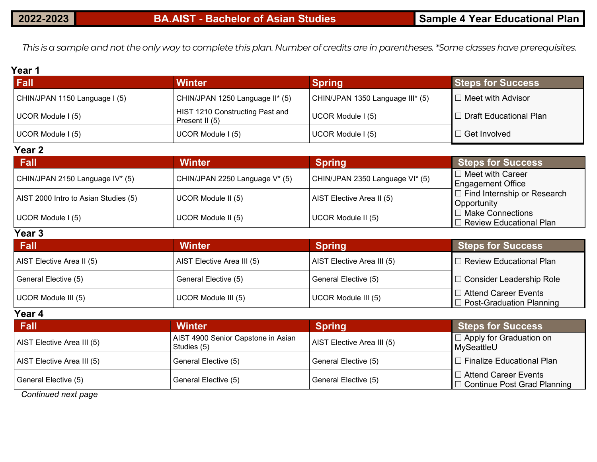*This is a sample and not the only way to complete this plan. Number of credits are in parentheses. \*Some classes have prerequisites.*

#### **Year 1**

| Fall                          | <b>Winter</b>                                     | <b>Spring</b>                    | <b>Steps for Success</b>                            |
|-------------------------------|---------------------------------------------------|----------------------------------|-----------------------------------------------------|
| CHIN/JPAN 1150 Language I (5) | CHIN/JPAN 1250 Language II* (5)                   | CHIN/JPAN 1350 Language III* (5) | $\Box$ Meet with Advisor                            |
| UCOR Module I (5)             | HIST 1210 Constructing Past and<br>Present II (5) | UCOR Module I (5)                | $\mathsf I\mathbin{\square}$ Draft Educational Plan |
| UCOR Module I (5)             | UCOR Module I (5)                                 | UCOR Module I (5)                | $\Box$ Get Involved                                 |

#### **Year 2**

| / Fall                               | <b>Winter</b>                  | <b>Spring</b>                   | <b>Steps for Success</b>           |
|--------------------------------------|--------------------------------|---------------------------------|------------------------------------|
| CHIN/JPAN 2150 Language IV* (5)      | CHIN/JPAN 2250 Language V* (5) | CHIN/JPAN 2350 Language VI* (5) | $\Box$ Meet with Career            |
|                                      |                                |                                 | <b>Engagement Office</b>           |
| AIST 2000 Intro to Asian Studies (5) | UCOR Module II (5)             | AIST Elective Area II (5)       | $\Box$ Find Internship or Research |
|                                      |                                |                                 | Opportunity                        |
| UCOR Module I (5)                    | UCOR Module II (5)             | UCOR Module II (5)              | $\Box$ Make Connections            |
|                                      |                                |                                 | $\Box$ Review Educational Plan     |

#### **Year 3**

| <b>Fall</b>               | <b>Winter</b>              | <b>Spring</b>              | <b>Steps for Success</b>                                       |
|---------------------------|----------------------------|----------------------------|----------------------------------------------------------------|
| AIST Elective Area II (5) | AIST Elective Area III (5) | AIST Elective Area III (5) | $\Box$ Review Educational Plan                                 |
| General Elective (5)      | General Elective (5)       | General Elective (5)       | □ Consider Leadership Role                                     |
| UCOR Module III (5)       | UCOR Module III (5)        | UCOR Module III (5)        | $\Box$ Attend Career Events<br>$\Box$ Post-Graduation Planning |

#### **Year 4**

| <b>Fall</b>                | <b>Winter</b>                                     | <b>Spring</b>              | Steps for Success                                                 |
|----------------------------|---------------------------------------------------|----------------------------|-------------------------------------------------------------------|
| AIST Elective Area III (5) | AIST 4900 Senior Capstone in Asian<br>Studies (5) | AIST Elective Area III (5) | I □ Apply for Graduation on<br>MySeattleU                         |
| AIST Elective Area III (5) | General Elective (5)                              | General Elective (5)       | $\Box$ Finalize Educational Plan                                  |
| General Elective (5)       | General Elective (5)                              | General Elective (5)       | $\Box$ Attend Career Events<br>$\Box$ Continue Post Grad Planning |

*Continued next page*